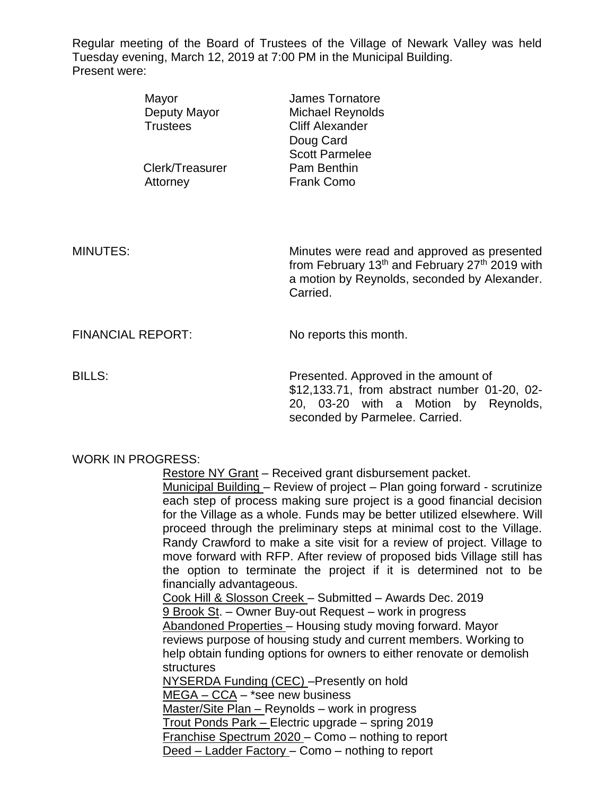Regular meeting of the Board of Trustees of the Village of Newark Valley was held Tuesday evening, March 12, 2019 at 7:00 PM in the Municipal Building. Present were:

|                          | Mayor<br>Deputy Mayor<br><b>Trustees</b> | <b>James Tornatore</b><br>Michael Reynolds<br><b>Cliff Alexander</b><br>Doug Card<br><b>Scott Parmelee</b>                                                                        |
|--------------------------|------------------------------------------|-----------------------------------------------------------------------------------------------------------------------------------------------------------------------------------|
|                          | Clerk/Treasurer<br>Attorney              | Pam Benthin<br><b>Frank Como</b>                                                                                                                                                  |
| <b>MINUTES:</b>          |                                          | Minutes were read and approved as presented<br>from February 13 <sup>th</sup> and February 27 <sup>th</sup> 2019 with<br>a motion by Reynolds, seconded by Alexander.<br>Carried. |
| <b>FINANCIAL REPORT:</b> |                                          | No reports this month.                                                                                                                                                            |

BILLS: Presented. Approved in the amount of \$12,133.71, from abstract number 01-20, 02- 20, 03-20 with a Motion by Reynolds, seconded by Parmelee. Carried.

## WORK IN PROGRESS:

Restore NY Grant – Received grant disbursement packet.

Municipal Building – Review of project – Plan going forward - scrutinize each step of process making sure project is a good financial decision for the Village as a whole. Funds may be better utilized elsewhere. Will proceed through the preliminary steps at minimal cost to the Village. Randy Crawford to make a site visit for a review of project. Village to move forward with RFP. After review of proposed bids Village still has the option to terminate the project if it is determined not to be financially advantageous.

Cook Hill & Slosson Creek – Submitted – Awards Dec. 2019 9 Brook St. – Owner Buy-out Request – work in progress Abandoned Properties – Housing study moving forward. Mayor reviews purpose of housing study and current members. Working to help obtain funding options for owners to either renovate or demolish structures NYSERDA Funding (CEC) –Presently on hold

MEGA – CCA – \*see new business Master/Site Plan – Reynolds – work in progress Trout Ponds Park – Electric upgrade – spring 2019 Franchise Spectrum 2020 – Como – nothing to report Deed – Ladder Factory – Como – nothing to report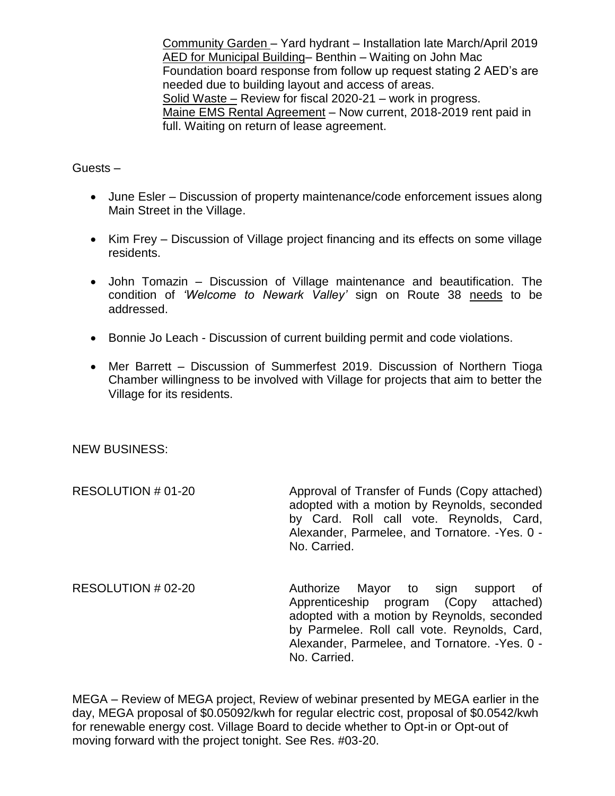Community Garden – Yard hydrant – Installation late March/April 2019 AED for Municipal Building– Benthin – Waiting on John Mac Foundation board response from follow up request stating 2 AED's are needed due to building layout and access of areas. Solid Waste – Review for fiscal 2020-21 – work in progress. Maine EMS Rental Agreement – Now current, 2018-2019 rent paid in full. Waiting on return of lease agreement.

## Guests –

- June Esler Discussion of property maintenance/code enforcement issues along Main Street in the Village.
- Kim Frey Discussion of Village project financing and its effects on some village residents.
- John Tomazin Discussion of Village maintenance and beautification. The condition of *'Welcome to Newark Valley'* sign on Route 38 needs to be addressed.
- Bonnie Jo Leach Discussion of current building permit and code violations.
- Mer Barrett Discussion of Summerfest 2019. Discussion of Northern Tioga Chamber willingness to be involved with Village for projects that aim to better the Village for its residents.

## NEW BUSINESS:

RESOLUTION # 01-20 Approval of Transfer of Funds (Copy attached) adopted with a motion by Reynolds, seconded by Card. Roll call vote. Reynolds, Card, Alexander, Parmelee, and Tornatore. -Yes. 0 - No. Carried.

RESOLUTION # 02-20 Authorize Mayor to sign support of Apprenticeship program (Copy attached) adopted with a motion by Reynolds, seconded by Parmelee. Roll call vote. Reynolds, Card, Alexander, Parmelee, and Tornatore. -Yes. 0 - No. Carried.

MEGA – Review of MEGA project, Review of webinar presented by MEGA earlier in the day, MEGA proposal of \$0.05092/kwh for regular electric cost, proposal of \$0.0542/kwh for renewable energy cost. Village Board to decide whether to Opt-in or Opt-out of moving forward with the project tonight. See Res. #03-20.